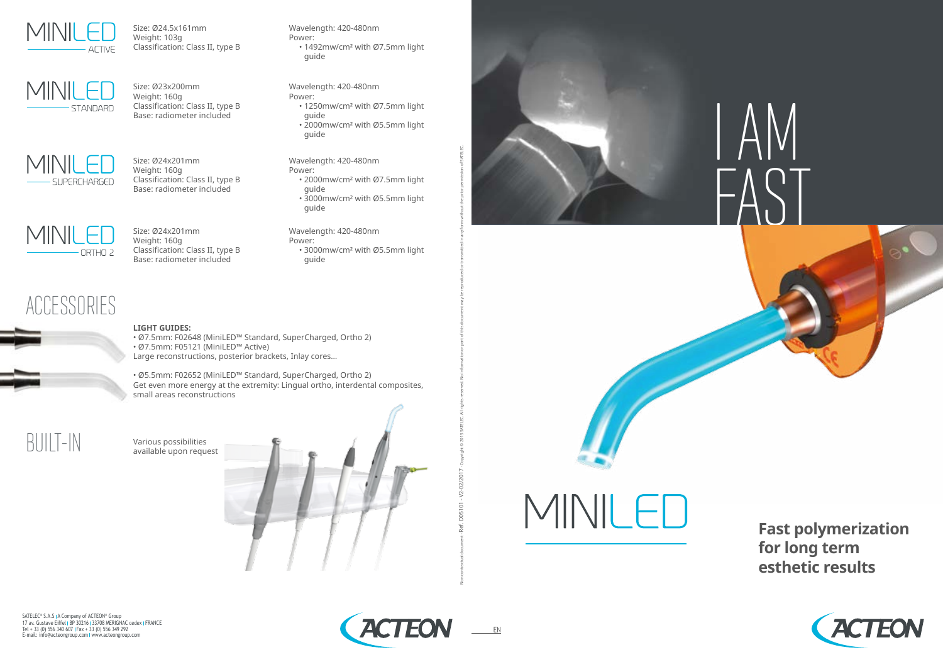

Size: Ø24.5x161mm Weight: 103g Classification: Class II, type B



Wavelength: 420-480nm

Power:

• 1492mw/cm² with Ø7.5mm light

guide

Size: Ø23x200mm Weight: 160g Classification: Class II, type B Base: radiometer included



Wavelength: 420-480nm

Power:

• 1250mw/cm² with Ø7.5mm light

guide

• 2000mw/cm² with Ø5.5mm light

guide

Size: Ø24x201mm Weight: 160g Classification: Class II, type B Base: radiometer included

Wavelength: 420-480nm

Power:

• 2000mw/cm² with Ø7.5mm light

guide

• 3000mw/cm² with Ø5.5mm light

guide

Size: Ø24x201mm Weight: 160g

Classification: Class II, type B Base: radiometer included

MINILE ORTHO<sub>2</sub>

Wavelength: 420-480nm

Power:

• 3000mw/cm² with Ø5.5mm light

guide

### ACCESSORIES



### **LIGHT GUIDES:**

• Ø7.5mm: F02648 (MiniLED™ Standard, SuperCharged, Ortho 2) • Ø7.5mm: F05121 (MiniLED™ Active) Large reconstructions, posterior brackets, Inlay cores…

• Ø5.5mm: F02652 (MiniLED™ Standard, SuperCharged, Ortho 2) Get even more energy at the extremity: Lingual ortho, interdental composites, small areas reconstructions

 $\left[\begin{array}{c|c} \begin{array}{ccc} \hline \begin{array}{ccc} \hline \begin{array}{ccc} \hline \text{1} & \text{1} & \text{1} & \text{1} & \text{1} & \text{1} & \text{1} & \text{1} & \text{1} & \text{1} & \text{1} & \text{1} & \text{1} & \text{1} & \text{1} & \text{1} & \text{1} & \text{1} & \text{1} & \text{1} & \text{1} & \text{1} & \text{1} & \text{1} & \text{1} & \text{1} & \text{1} & \text{1} & \text{1} & \text{1}$ 





MINILE

SATELEC® S.A.S I A Company of ACTEON® Group 17 av. Gustave Eiffel I BP 30216 I 33708 MERIGNAC cedex I FRANCE<br>Tel + 33 (0) 556 340 607 I Fax + 33 (0) 556 349 292 E-mail: info@acteongroup.com www.acteongroup.com





### **Fast polymerization for long term esthetic results**



EN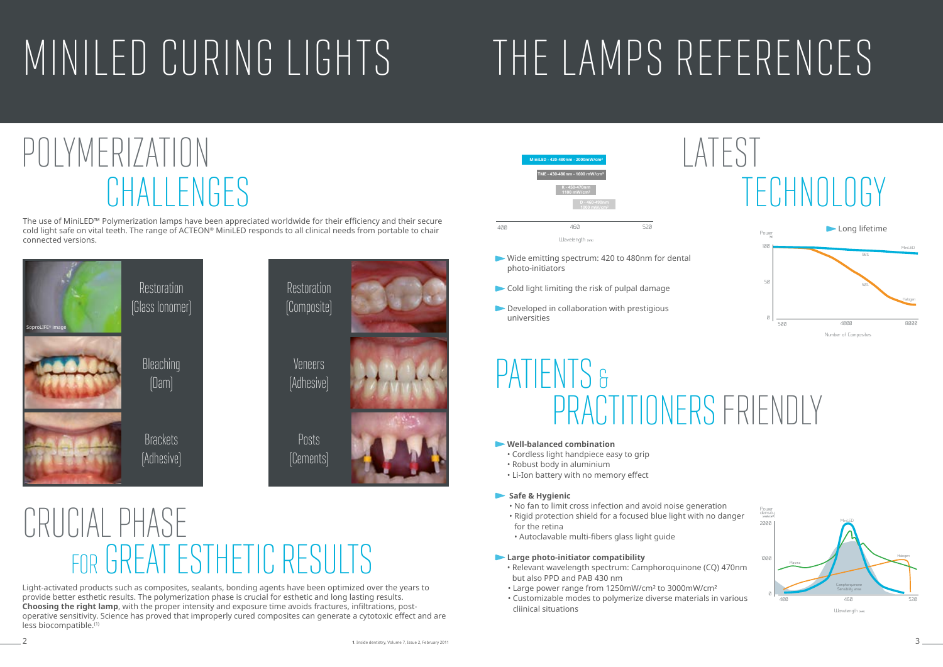The use of MiniLED™ Polymerization lamps have been appreciated worldwide for their efficiency and their secure cold light safe on vital teeth. The range of ACTEON® MiniLED responds to all clinical needs from portable to chair connected versions.

### CRUCIAL PHASE FOR GREAT ESTHETIC RESULTS

- Wide emitting spectrum: 420 to 480nm for dental photo-initiators
- Cold light limiting the risk of pulpal damage
- Developed in collaboration with prestigious universities





## PATIENTS & PRACTITIONERS FRIENDLY



Light-activated products such as composites, sealants, bonding agents have been optimized over the years to provide better esthetic results. The polymerization phase is crucial for esthetic and long lasting results. **Choosing the right lamp**, with the proper intensity and exposure time avoids fractures, infiltrations, postoperative sensitivity. Science has proved that improperly cured composites can generate a cytotoxic effect and are less biocompatible.(1)



## POLYMERIZATION CHALLENGES

### **Well-balanced combination**

- Cordless light handpiece easy to grip
- Robust body in aluminium
- Li-Ion battery with no memory effect

### **Safe & Hygienic**

- No fan to limit cross infection and avoid noise generation
- Rigid protection shield for a focused blue light with no danger
- for the retina
- Autoclavable multi-fibers glass light guide

### **Large photo-initiator compatibility**

- Relevant wavelength spectrum: Camphoroquinone (CQ) 470nm but also PPD and PAB 430 nm
- Large power range from 1250mW/cm² to 3000mW/cm²
- Customizable modes to polymerize diverse materials in various cliinical situations



## LATEST TECHNOLOGY

# MINILED CURING LIGHTS THE LAMPS REFERENCES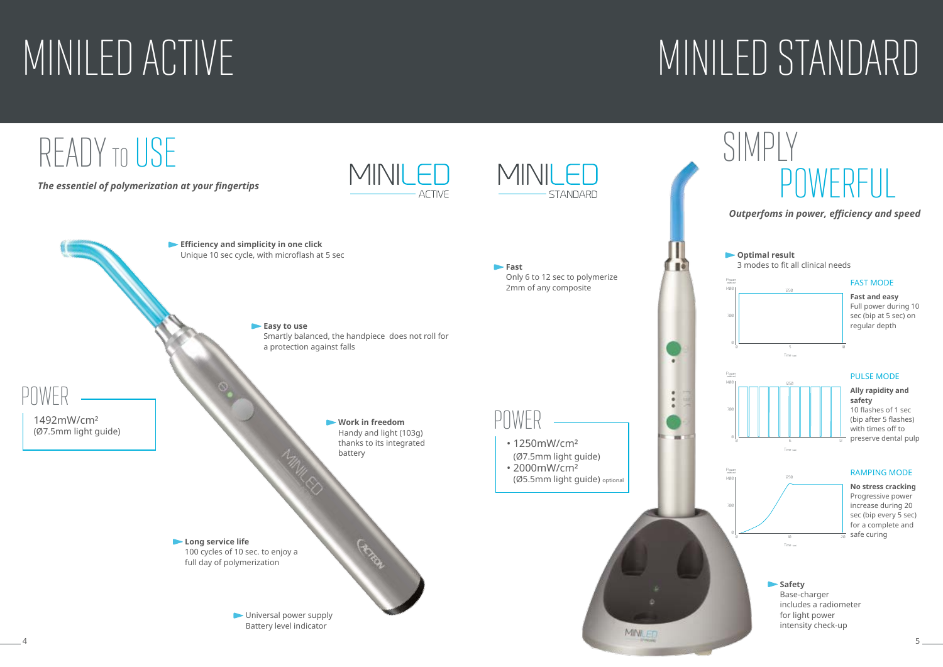## MINILED ACTIVE

## MINILED STANDARD



**No stress cracking** Progressive power increase during 20 sec (bip every 5 sec) for a complete and  $\frac{1}{20}$  safe curing

## SIMPLY POWERFUL



### FAST MODE

**Fast and easy**  Full power during 10 sec (bip at 5 sec) on regular depth



### PULSE MODE

**Ally rapidity and safety** 10 flashes of 1 sec (bip after 5 flashes) with times off to preserve dental pulp

### RAMPING MODE



**Safety** Base-charger includes a radiometer for light power intensity check-up

*Outperfoms in power, efficiency and speed*

**Optimal result** 3 modes to fit all clinical needs